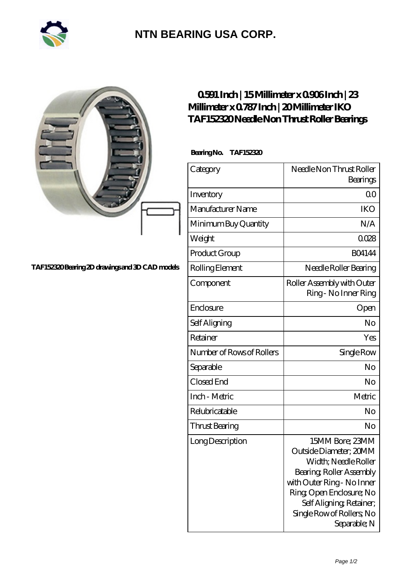

## **[NTN BEARING USA CORP.](https://m.2rw-antriebselemente.de)**

|                                                | 0591 Inch   15 Millimeter x 0906 Inch   23<br>Millimeter x 0787 Inch   20 Millimeter IKO<br>TAF152320Needle Non Thrust Roller Bearings |                                                                                                                                                                                                                                 |
|------------------------------------------------|----------------------------------------------------------------------------------------------------------------------------------------|---------------------------------------------------------------------------------------------------------------------------------------------------------------------------------------------------------------------------------|
|                                                | BearingNo.<br>TAF152320                                                                                                                |                                                                                                                                                                                                                                 |
|                                                | Category                                                                                                                               | Needle Non Thrust Roller<br>Bearings                                                                                                                                                                                            |
|                                                | Inventory                                                                                                                              | 0 <sup>0</sup>                                                                                                                                                                                                                  |
|                                                | Manufacturer Name                                                                                                                      | <b>IKO</b>                                                                                                                                                                                                                      |
|                                                | Minimum Buy Quantity                                                                                                                   | N/A                                                                                                                                                                                                                             |
|                                                | Weight                                                                                                                                 | 0028                                                                                                                                                                                                                            |
|                                                | Product Group                                                                                                                          | <b>BO4144</b>                                                                                                                                                                                                                   |
| TAF152320Bearing 2D drawings and 3D CAD models | Rolling Element                                                                                                                        | Needle Roller Bearing                                                                                                                                                                                                           |
|                                                | Component                                                                                                                              | Roller Assembly with Outer<br>Ring - No Inner Ring                                                                                                                                                                              |
|                                                | Enclosure                                                                                                                              | Open                                                                                                                                                                                                                            |
|                                                | Self Aligning                                                                                                                          | No                                                                                                                                                                                                                              |
|                                                | Retainer                                                                                                                               | Yes                                                                                                                                                                                                                             |
|                                                | Number of Rows of Rollers                                                                                                              | Single Row                                                                                                                                                                                                                      |
|                                                | Separable                                                                                                                              | No                                                                                                                                                                                                                              |
|                                                | Closed End                                                                                                                             | No                                                                                                                                                                                                                              |
|                                                | Inch - Metric                                                                                                                          | Metric                                                                                                                                                                                                                          |
|                                                | Relubricatable                                                                                                                         | No                                                                                                                                                                                                                              |
|                                                | <b>Thrust Bearing</b>                                                                                                                  | No                                                                                                                                                                                                                              |
|                                                | Long Description                                                                                                                       | 15MM Bore; 23MM<br>Outside Diameter; 20MM<br>Width; Needle Roller<br>Bearing, Roller Assembly<br>with Outer Ring - No Inner<br>Ring Open Enclosure; No<br>Self Aligning, Retainer;<br>Single Row of Rollers, No<br>Separable; N |